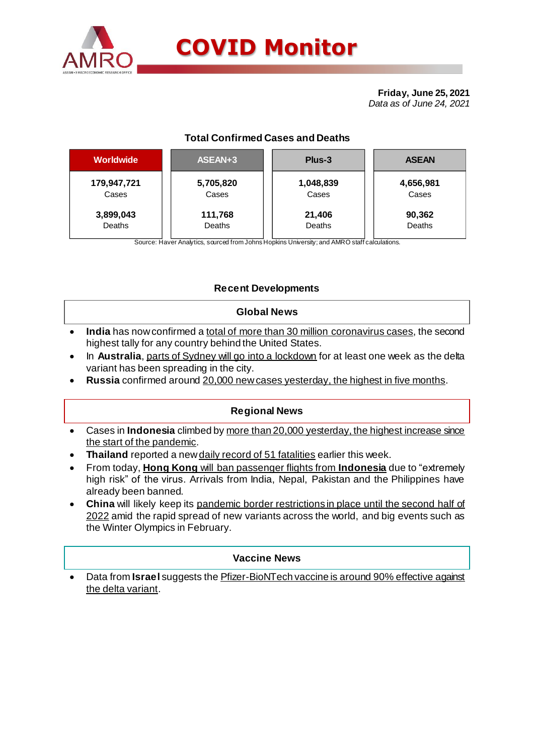

# **COVID Monitor**

**Friday, June 25, 2021** *Data as of June 24, 2021*

### **Total Confirmed Cases and Deaths**

| <b>Worldwide</b> | ASEAN+3   | Plus-3    | <b>ASEAN</b> |  |  |
|------------------|-----------|-----------|--------------|--|--|
| 179,947,721      | 5,705,820 | 1,048,839 | 4,656,981    |  |  |
| Cases            | Cases     | Cases     | Cases        |  |  |
| 3,899,043        | 111,768   | 21,406    | 90,362       |  |  |
| Deaths           | Deaths    | Deaths    | Deaths       |  |  |

Source: Haver Analytics, sourced from Johns Hopkins University; and AMRO staff calculations.

#### **Recent Developments**

#### **Global News**

- **India** has now confirmed a total of more than 30 million coronavirus cases, the second highest tally for any country behind the United States.
- In **Australia**, parts of Sydney will go into a lockdown for at least one week as the delta variant has been spreading in the city.
- **Russia** confirmed around 20,000 newcases yesterday, the highest in five months.

#### **Regional News**

- Cases in **Indonesia** climbed by more than 20,000 yesterday, the highest increase since the start of the pandemic.
- Thailand reported a new daily record of 51 fatalities earlier this week.
- From today, **Hong Kong** will ban passenger flights from **Indonesia** due to "extremely high risk" of the virus. Arrivals from India, Nepal, Pakistan and the Philippines have already been banned.
- **China** will likely keep its pandemic border restrictions in place until the second half of 2022 amid the rapid spread of new variants across the world, and big events such as the Winter Olympics in February.

#### **Vaccine News**

 Data from **Israel** suggests the Pfizer-BioNTech vaccine is around 90% effective against the delta variant.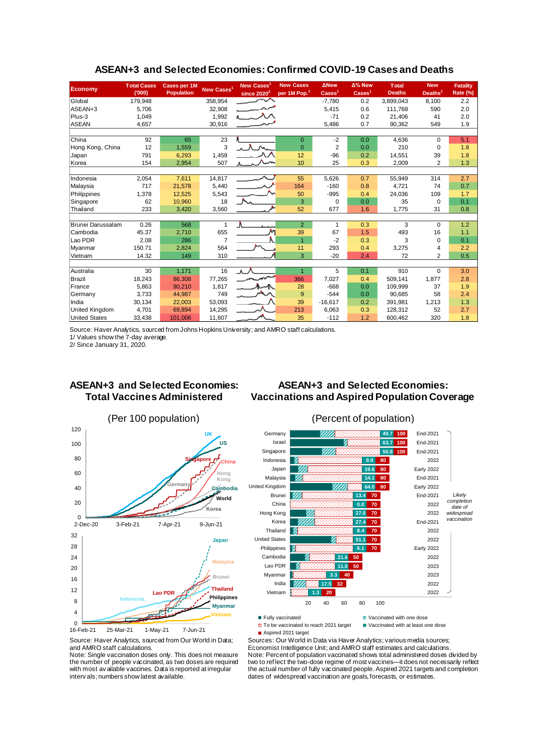| <b>Economy</b>           | <b>Total Cases</b><br>(000) | <b>Cases per 1M</b><br><b>Population</b> | New Cases <sup>1</sup> | <b>New Cases</b><br>since $2020^2$ | <b>New Cases</b><br>per 1M Pop. <sup>1</sup> | <b>ANew</b><br>$\text{Case} \mathsf{s}^1$ | Δ% New<br>$\text{Case} \text{s}^1$ | <b>Total</b><br><b>Deaths</b> | <b>New</b><br>Deaths <sup>1</sup> | <b>Fatality</b><br>Rate (%) |
|--------------------------|-----------------------------|------------------------------------------|------------------------|------------------------------------|----------------------------------------------|-------------------------------------------|------------------------------------|-------------------------------|-----------------------------------|-----------------------------|
| Global                   | 179,948                     |                                          | 358,954                |                                    |                                              | $-7,780$                                  | 0.2                                | 3,899,043                     | 8,100                             | 2.2                         |
| ASEAN+3                  | 5,706                       |                                          | 32,908                 |                                    |                                              | 5,415                                     | 0.6                                | 111,768                       | 590                               | 2.0                         |
| Plus-3                   | 1.049                       |                                          | 1,992                  |                                    |                                              | $-71$                                     | 0.2                                | 21.406                        | 41                                | 2.0                         |
| <b>ASEAN</b>             | 4,657                       |                                          | 30,916                 |                                    |                                              | 5,486                                     | 0.7                                | 90,362                        | 549                               | 1.9                         |
|                          |                             |                                          |                        |                                    |                                              |                                           |                                    |                               |                                   |                             |
| China                    | 92                          | 65                                       | 23                     |                                    | $\mathbf{0}$                                 | $-2$                                      | 0.0                                | 4,636                         | $\Omega$                          | 5.1                         |
| Hong Kong, China         | 12                          | 1,559                                    | 3                      |                                    | $\Omega$                                     | $\overline{2}$                            | 0.0                                | 210                           | $\mathbf 0$                       | 1.8                         |
| Japan                    | 791                         | 6,293                                    | 1,459                  |                                    | 12                                           | $-96$                                     | 0.2                                | 14,551                        | 39                                | 1.8                         |
| Korea                    | 154                         | 2,954                                    | 507                    |                                    | 10                                           | 25                                        | 0.3                                | 2,009                         | $\overline{2}$                    | 1.3                         |
|                          |                             |                                          |                        |                                    |                                              |                                           |                                    |                               |                                   |                             |
| Indonesia                | 2,054                       | 7,611                                    | 14,817                 |                                    | 55                                           | 5,626                                     | 0.7                                | 55,949                        | 314                               | 2.7                         |
| Malaysia                 | 717                         | 21,578                                   | 5,440                  |                                    | 164                                          | $-160$                                    | 0.8                                | 4,721                         | 74                                | 0.7                         |
| Philippines              | 1,378                       | 12,525                                   | 5,543                  |                                    | 50                                           | $-995$                                    | 0.4                                | 24,036                        | 109                               | 1.7                         |
| Singapore                | 62                          | 10,960                                   | 18                     |                                    | 3                                            | $\Omega$                                  | 0.0                                | 35                            | $\Omega$                          | 0.1                         |
| Thailand                 | 233                         | 3,420                                    | 3,560                  |                                    | 52                                           | 677                                       | 1.6                                | 1,775                         | 31                                | 0.8                         |
|                          |                             |                                          |                        |                                    |                                              |                                           |                                    |                               |                                   |                             |
| <b>Brunei Darussalam</b> | 0.26                        | 568                                      | $\mathbf{1}$           | ٨                                  | $\overline{2}$                               | $\mathbf{1}$                              | 0.3                                | 3                             | $\mathbf 0$                       | 1.2                         |
| Cambodia                 | 45.37                       | 2,710                                    | 655                    |                                    | 39                                           | 67                                        | 1.5                                | 493                           | 16                                | 1.1                         |
| Lao PDR                  | 2.08                        | 286                                      | $\overline{7}$         |                                    | $\overline{1}$                               | $-2$                                      | 0.3                                | 3                             | $\Omega$                          | 0.1                         |
| Myanmar                  | 150.71                      | 2,824                                    | 564                    |                                    | 11                                           | 293                                       | 0.4                                | 3,275                         | 4                                 | 2.2                         |
| Vietnam                  | 14.32                       | 149                                      | 310                    |                                    | 3                                            | $-20$                                     | 2.4                                | 72                            | $\overline{2}$                    | 0.5                         |
|                          |                             |                                          |                        |                                    |                                              |                                           |                                    |                               |                                   |                             |
| Australia                | 30                          | 1,171                                    | 16                     | $\Lambda$                          | $\overline{1}$                               | 5                                         | 0.1                                | 910                           | $\Omega$                          | 3.0                         |
| Brazil                   | 18,243                      | 86,308                                   | 77,265                 |                                    | 366                                          | 7,027                                     | 0.4                                | 509.141                       | 1,877                             | 2.8                         |
| France                   | 5,863                       | 90,210                                   | 1,817                  |                                    | 28                                           | $-668$                                    | 0.0                                | 109,999                       | 37                                | 1.9                         |
| Germany                  | 3,733                       | 44,987                                   | 749                    |                                    | 9                                            | $-544$                                    | 0.0                                | 90.685                        | 58                                | 2.4                         |
| India                    | 30,134                      | 22,003                                   | 53,093                 |                                    | 39                                           | $-16,617$                                 | 0.2                                | 391.981                       | 1,213                             | 1.3                         |
| <b>United Kingdom</b>    | 4,701                       | 69,894                                   | 14,295                 |                                    | 213                                          | 6,063                                     | 0.3                                | 128,312                       | 52                                | 2.7                         |
| <b>United States</b>     | 33,438                      | 101,006                                  | 11,607                 |                                    | 35                                           | $-112$                                    | 1.2                                | 600,462                       | 320                               | 1.8                         |

#### **ASEAN+3 and Selected Economies: Confirmed COVID-19 Cases and Deaths**

Source: Haver Analytics, sourced from Johns Hopkins University; and AMRO staff calculations.

1/ Values show the 7-day average.

2/ Since January 31, 2020.

#### **ASEAN+3 and Selected Economies: Total Vaccines Administered**

#### **ASEAN+3 and Selected Economies: Vaccinations and Aspired Population Coverage**





□ To be vaccinated to reach 2021 target ■ Vaccinated with at least one dose

■ Aspired 2021 target

Source: Haver Analytics, sourced from Our World in Data; and AMRO staff calculations.

Note: Single vaccination doses only. This does not measure the number of people vaccinated, as two doses are required with most av ailable vaccines. Data is reported at irregular interv als; numbers show latest available.

Sources: Our World in Data via Haver Analytics; various media sources; Economist Intelligence Unit; and AMRO staff estimates and calculations. Note: Percent of population vaccinated shows total administered doses divided by two to ref lect the two-dose regime of most vaccines—it does not necessarily reflect the actual number of fully vaccinated people. Aspired 2021 targets and completion dates of widespread vaccination are goals, forecasts, or estimates.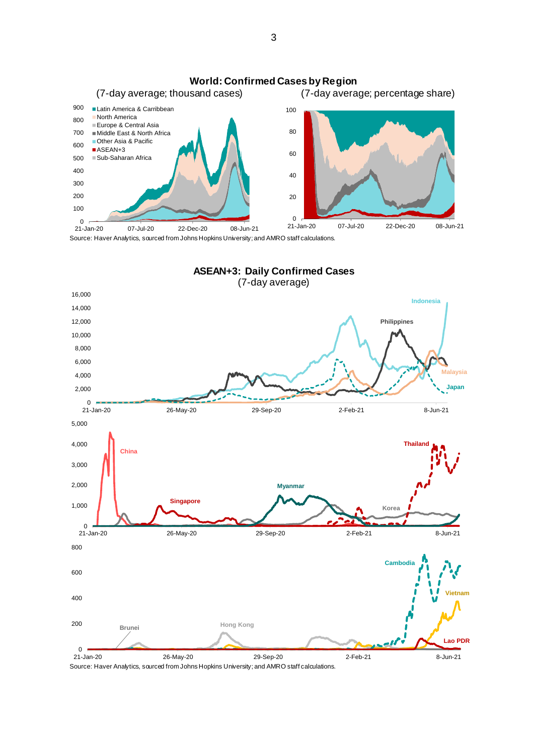

Source: Haver Analytics, sourced from Johns Hopkins University; and AMRO staff calculations.



Source: Haver Analytics, sourced from Johns Hopkins University; and AMRO staff calculations.

3